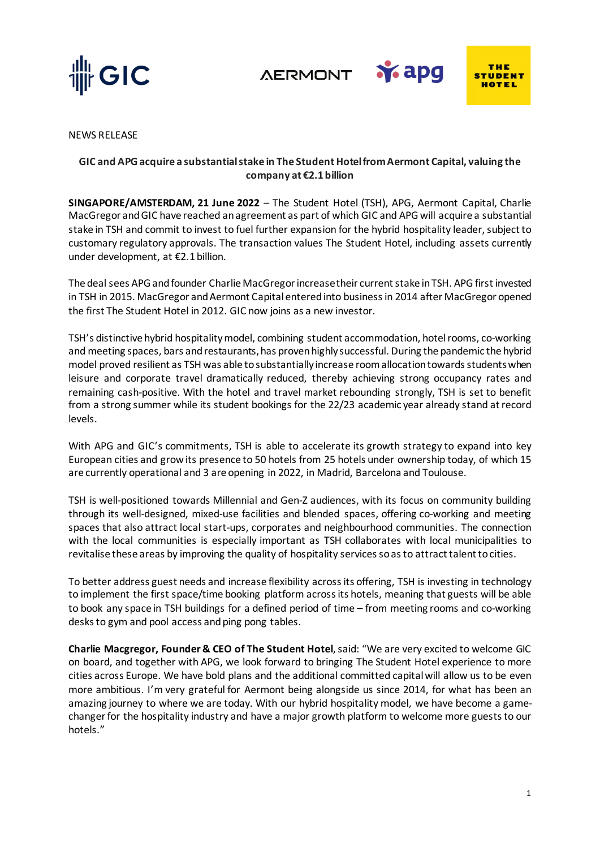

**AERMONT** 



**Y** apg

NEWS RELEASE

## **GIC and APG acquire a substantial stake in The Student Hotel from Aermont Capital, valuing the company at €2.1 billion**

**SINGAPORE/AMSTERDAM, 21 June 2022** – The Student Hotel (TSH), APG, Aermont Capital, Charlie MacGregor and GIC have reached an agreement as part of which GIC and APG will acquire a substantial stake in TSH and commit to invest to fuel further expansion for the hybrid hospitality leader, subject to customary regulatory approvals. The transaction values The Student Hotel, including assets currently under development, at €2.1 billion.

The deal sees APG and founder Charlie MacGregor increase their current stake in TSH. APG first invested in TSH in 2015. MacGregor and Aermont Capital entered into business in 2014 after MacGregor opened the first The Student Hotel in 2012. GIC now joins as a new investor.

TSH's distinctive hybrid hospitality model, combining student accommodation, hotel rooms, co-working and meeting spaces, bars and restaurants, has proven highly successful. During the pandemic the hybrid model proved resilient as TSH was able to substantially increase room allocation towards students when leisure and corporate travel dramatically reduced, thereby achieving strong occupancy rates and remaining cash-positive. With the hotel and travel market rebounding strongly, TSH is set to benefit from a strong summer while its student bookings for the 22/23 academic year already stand at record levels.

With APG and GIC's commitments, TSH is able to accelerate its growth strategy to expand into key European cities and grow its presence to 50 hotels from 25 hotels under ownership today, of which 15 are currently operational and 3 are opening in 2022, in Madrid, Barcelona and Toulouse.

TSH is well-positioned towards Millennial and Gen-Z audiences, with its focus on community building through its well-designed, mixed-use facilities and blended spaces, offering co-working and meeting spaces that also attract local start-ups, corporates and neighbourhood communities. The connection with the local communities is especially important as TSH collaborates with local municipalities to revitalise these areas by improving the quality of hospitality services so as to attract talent to cities.

To better address guest needs and increase flexibility across its offering, TSH is investing in technology to implement the first space/time booking platform across its hotels, meaning that guests will be able to book any space in TSH buildings for a defined period of time – from meeting rooms and co-working desks to gym and pool access and ping pong tables.

**Charlie Macgregor, Founder & CEO of The Student Hotel**, said: "We are very excited to welcome GIC on board, and together with APG, we look forward to bringing The Student Hotel experience to more cities across Europe. We have bold plans and the additional committed capital will allow us to be even more ambitious. I'm very grateful for Aermont being alongside us since 2014, for what has been an amazing journey to where we are today. With our hybrid hospitality model, we have become a gamechanger for the hospitality industry and have a major growth platform to welcome more guests to our hotels."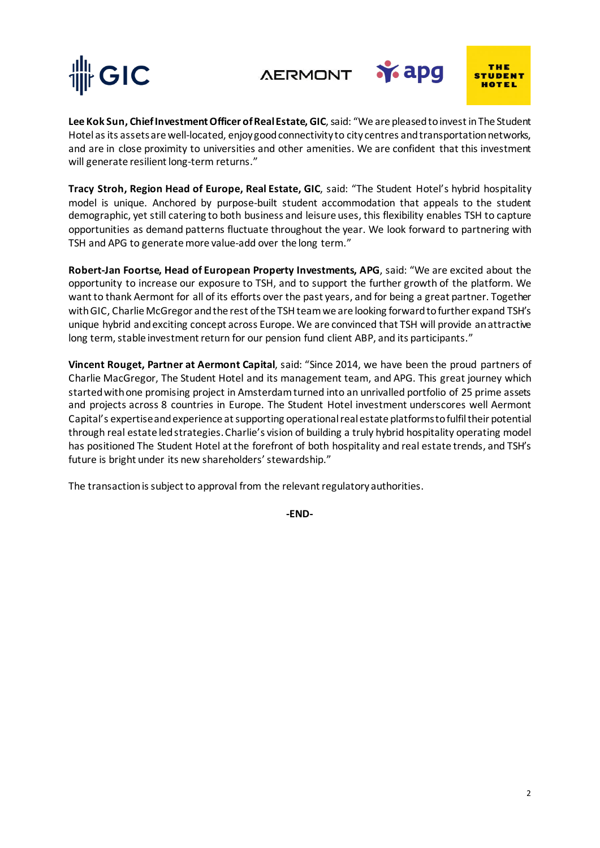





**Y** apg

**Lee Kok Sun, Chief Investment Officer of Real Estate, GIC**, said: "We are pleased to invest in The Student Hotel as its assets are well-located, enjoy good connectivity to city centres and transportation networks, and are in close proximity to universities and other amenities. We are confident that this investment will generate resilient long-term returns."

**Tracy Stroh, Region Head of Europe, Real Estate, GIC**, said: "The Student Hotel's hybrid hospitality model is unique. Anchored by purpose-built student accommodation that appeals to the student demographic, yet still catering to both business and leisure uses, this flexibility enables TSH to capture opportunities as demand patterns fluctuate throughout the year. We look forward to partnering with TSH and APG to generate more value-add over the long term."

**Robert-Jan Foortse, Head of European Property Investments, APG**, said: "We are excited about the opportunity to increase our exposure to TSH, and to support the further growth of the platform. We want to thank Aermont for all of its efforts over the past years, and for being a great partner. Together with GIC, Charlie McGregor and the rest of the TSH team we are looking forward to further expand TSH's unique hybrid and exciting concept across Europe. We are convinced that TSH will provide an attractive long term, stable investment return for our pension fund client ABP, and its participants."

**Vincent Rouget, Partner at Aermont Capital**, said: "Since 2014, we have been the proud partners of Charlie MacGregor, The Student Hotel and its management team, and APG. This great journey which started with one promising project in Amsterdam turned into an unrivalled portfolio of 25 prime assets and projects across 8 countries in Europe. The Student Hotel investment underscores well Aermont Capital's expertise and experience at supporting operational real estate platforms to fulfil their potential through real estate led strategies. Charlie's vision of building a truly hybrid hospitality operating model has positioned The Student Hotel at the forefront of both hospitality and real estate trends, and TSH's future is bright under its new shareholders' stewardship."

The transaction is subject to approval from the relevant regulatory authorities.

**-END-**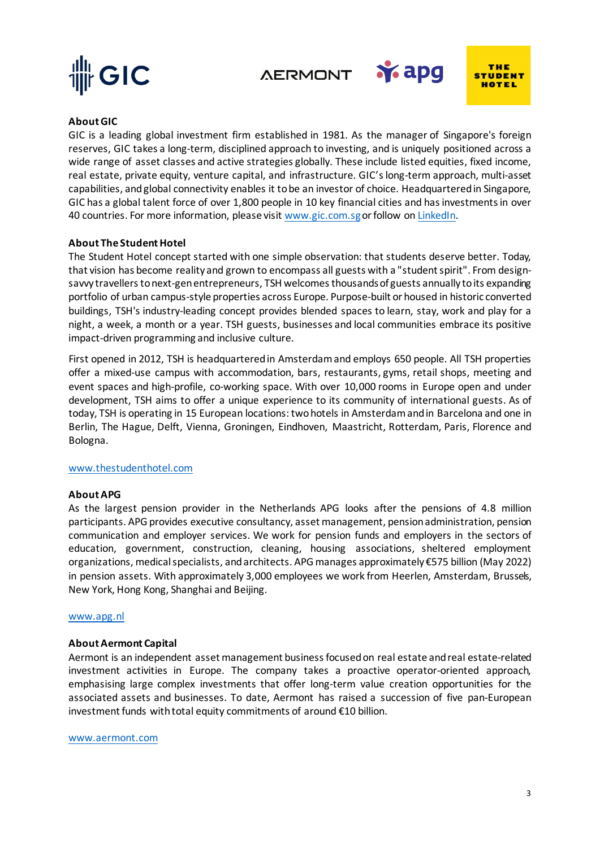

*AERMONT* 



**Y**apg

## **About GIC**

GIC is a leading global investment firm established in 1981. As the manager of Singapore's foreign reserves, GIC takes a long-term, disciplined approach to investing, and is uniquely positioned across a wide range of asset classes and active strategies globally. These include listed equities, fixed income, real estate, private equity, venture capital, and infrastructure. GIC's long-term approach, multi-asset capabilities, and global connectivity enables it to be an investor of choice. Headquartered in Singapore, GIC has a global talent force of over 1,800 people in 10 key financial cities and has investments in over 40 countries. For more information, please visit [www.gic.com.sg](http://www.gic.com.sg/)or follow o[n LinkedIn.](https://www.linkedin.com/company/gic/?originalSubdomain=sg)

### **About The Student Hotel**

The Student Hotel concept started with one simple observation: that students deserve better. Today, that vision has become reality and grown to encompass all guests with a "student spirit". From designsavvy travellers to next-gen entrepreneurs, TSH welcomes thousands of guests annually to its expanding portfolio of urban campus-style properties across Europe. Purpose-built or housed in historic converted buildings, TSH's industry-leading concept provides blended spaces to learn, stay, work and play for a night, a week, a month or a year. TSH guests, businesses and local communities embrace its positive impact-driven programming and inclusive culture.

First opened in 2012, TSH is headquartered in Amsterdam and employs 650 people. All TSH properties offer a mixed-use campus with accommodation, bars, restaurants, gyms, retail shops, meeting and event spaces and high-profile, co-working space. With over 10,000 rooms in Europe open and under development, TSH aims to offer a unique experience to its community of international guests. As of today, TSH is operating in 15 European locations: two hotels in Amsterdam and in Barcelona and one in Berlin, The Hague, Delft, Vienna, Groningen, Eindhoven, Maastricht, Rotterdam, Paris, Florence and Bologna.

### [www.thestudenthotel.com](http://www.thestudenthotel.com/)

### **About APG**

As the largest pension provider in the Netherlands APG looks after the pensions of 4.8 million participants. APG provides executive consultancy, asset management, pension administration, pension communication and employer services. We work for pension funds and employers in the sectors of education, government, construction, cleaning, housing associations, sheltered employment organizations, medical specialists, and architects. APG manages approximately €575 billion (May 2022) in pension assets. With approximately 3,000 employees we work from Heerlen, Amsterdam, Brussels, New York, Hong Kong, Shanghai and Beijing.

### [www.apg.nl](http://www.apg.nl/)

### **About Aermont Capital**

Aermont is an independent asset management business focused on real estate and real estate-related investment activities in Europe. The company takes a proactive operator-oriented approach, emphasising large complex investments that offer long-term value creation opportunities for the associated assets and businesses. To date, Aermont has raised a succession of five pan-European investment funds with total equity commitments of around €10 billion.

#### [www.aermont.com](http://www.aermont.com/)